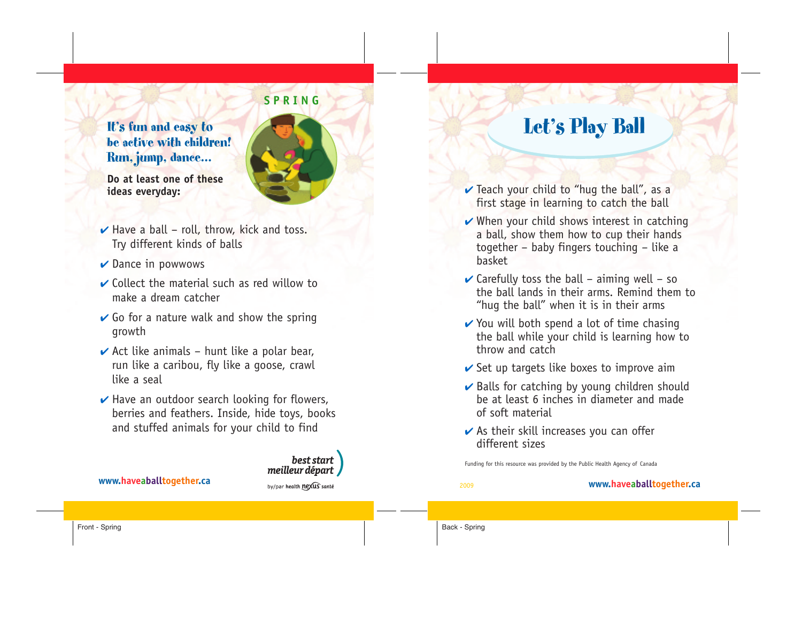### It's fun and easy to be active with children! Run, jump, dance…



**Do at least one of these ideas everyday:**

- **✔** Have a ball roll, throw, kick and toss. Try different kinds of balls
- **✔** Dance in powwows
- **✔** Collect the material such as red willow to make a dream catcher
- **✔** Go for a nature walk and show the spring growth
- **✔** Act like animals hunt like a polar bear, run like a caribou, fly like a goose, crawl like a seal
- **✔** Have an outdoor search looking for flowers, berries and feathers. Inside, hide toys, books and stuffed animals for your child to find



# Let's Play Ball

- **✔** Teach your child to "hug the ball", as a first stage in learning to catch the ball
- **✔** When your child shows interest in catching a ball, show them how to cup their hands together – baby fingers touching – like a basket
- $\vee$  Carefully toss the ball aiming well so the ball lands in their arms. Remind them to "hug the ball" when it is in their arms
- **✔** You will both spend a lot of time chasing the ball while your child is learning how to throw and catch
- **✔** Set up targets like boxes to improve aim
- **✔** Balls for catching by young children should be at least 6 inches in diameter and made of soft material
- **✔** As their skill increases you can offer different sizes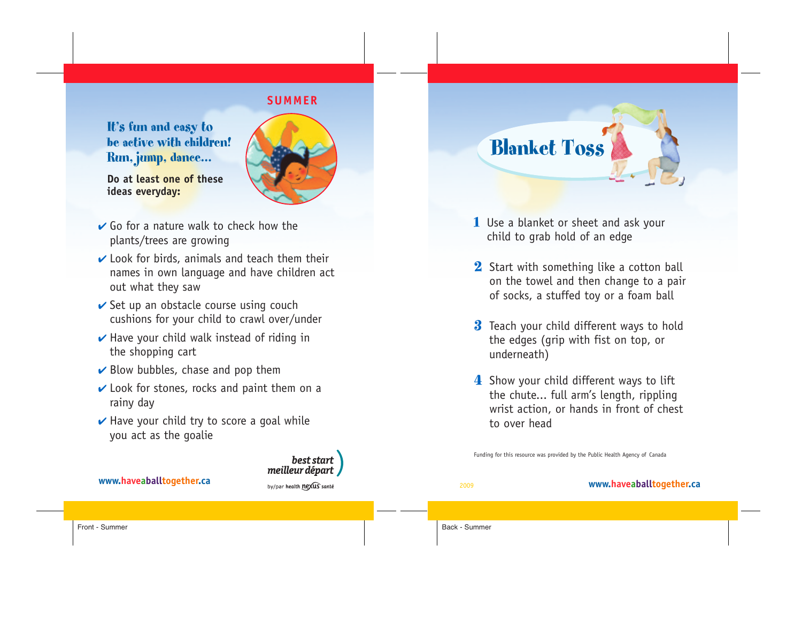#### **SUMMER**

It's fun and easy to be active with children! Run, jump, dance…



best start

**Do at least one of these ideas everyday:**

- **↓** Go for a nature walk to check how the plants/trees are growing
- **✔** Look for birds, animals and teach them their names in own language and have children act out what they saw
- **✓** Set up an obstacle course using couch cushions for your child to crawl over/under
- **✔** Have your child walk instead of riding in the shopping cart
- **✔** Blow bubbles, chase and pop them
- **✔** Look for stones, rocks and paint them on a rainy day
- **✔** Have your child try to score a goal while you act as the goalie



- 1 Use a blanket or sheet and ask your child to grab hold of an edge
- 2 Start with something like a cotton ball on the towel and then change to a pair of socks, a stuffed toy or a foam ball
- **3** Teach your child different ways to hold the edges (grip with fist on top, or underneath)
- 4 Show your child different ways to lift the chute... full arm's length, rippling wrist action, or hands in front of chest to over head

Funding for this resource was provided by the Public Health Agency of Canada

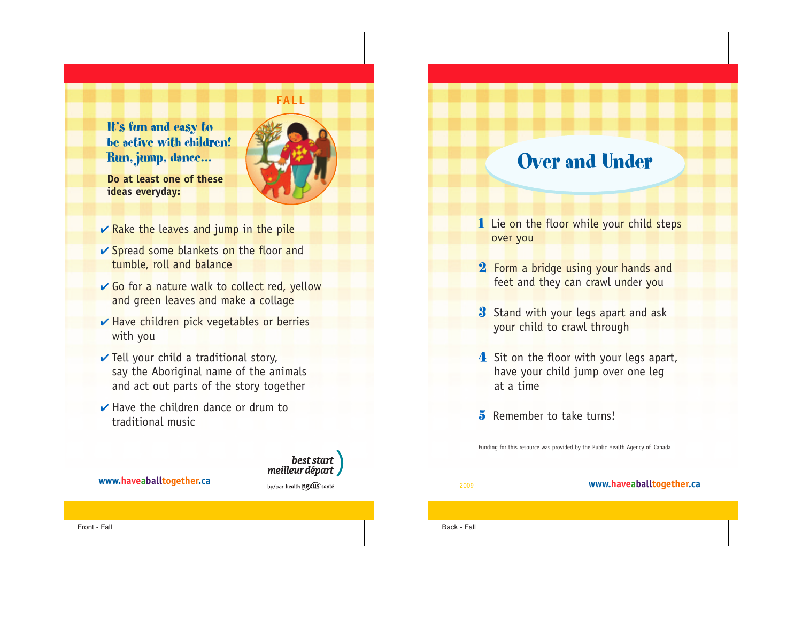### It's fun and easy to be active with children! Run, jump, dance…



best start

**Do at least one of these ideas everyday:**

- **★** Rake the leaves and jump in the pile
- **✔** Spread some blankets on the floor and tumble, roll and balance
- **↓** Go for a nature walk to collect red, yellow and green leaves and make a collage
- **►** Have children pick vegetables or berries with you
- **✔** Tell your child a traditional story, say the Aboriginal name of the animals and act out parts of the story together
- **✔** Have the children dance or drum to traditional music

## Over and Under

- 1 Lie on the floor while your child steps over you
- 2 Form a bridge using your hands and feet and they can crawl under you
- **3** Stand with your legs apart and ask your child to crawl through
- 4 Sit on the floor with your legs apart, have your child jump over one leg at a time
- 5 Remember to take turns!

Funding for this resource was provided by the Public Health Agency of Canada

meilleur départ **www.haveaballtogether.ca** by/par health nexus anté **www.haveaballtogether.ca** Front - Fall Back - Fall